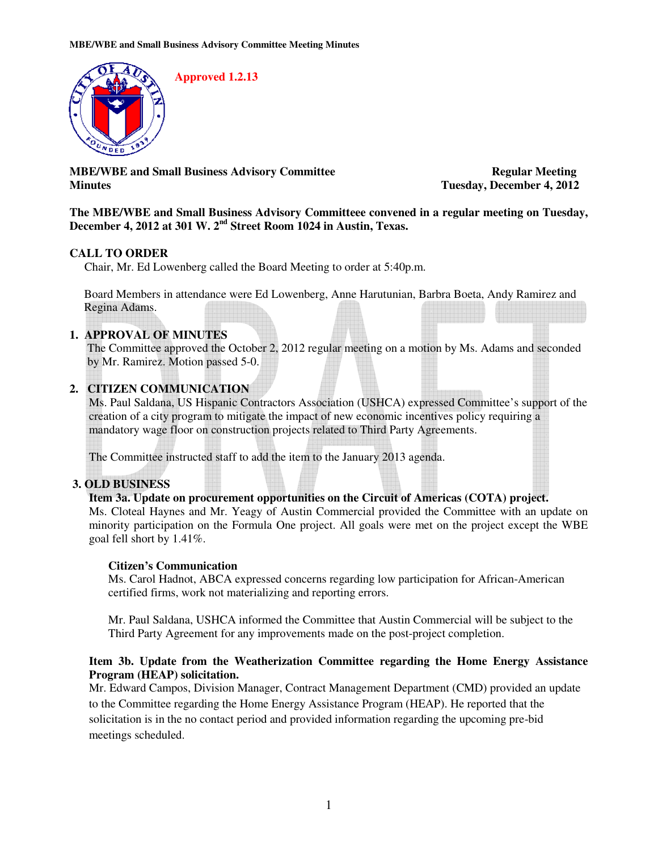

**MBE/WBE and Small Business Advisory Committee Regular Meeting Minutes Tuesday, December 4, 2012** 

**The MBE/WBE and Small Business Advisory Committeee convened in a regular meeting on Tuesday, December 4, 2012 at 301 W. 2nd Street Room 1024 in Austin, Texas.** 

## **CALL TO ORDER**

Chair, Mr. Ed Lowenberg called the Board Meeting to order at 5:40p.m.

Board Members in attendance were Ed Lowenberg, Anne Harutunian, Barbra Boeta, Andy Ramirez and Regina Adams.

## **1. APPROVAL OF MINUTES**

The Committee approved the October 2, 2012 regular meeting on a motion by Ms. Adams and seconded by Mr. Ramirez. Motion passed 5-0.

## **2. CITIZEN COMMUNICATION**

Ms. Paul Saldana, US Hispanic Contractors Association (USHCA) expressed Committee's support of the creation of a city program to mitigate the impact of new economic incentives policy requiring a mandatory wage floor on construction projects related to Third Party Agreements.

The Committee instructed staff to add the item to the January 2013 agenda.

## **3. OLD BUSINESS**

## **Item 3a. Update on procurement opportunities on the Circuit of Americas (COTA) project.**

Ms. Cloteal Haynes and Mr. Yeagy of Austin Commercial provided the Committee with an update on minority participation on the Formula One project. All goals were met on the project except the WBE goal fell short by 1.41%.

## **Citizen's Communication**

Ms. Carol Hadnot, ABCA expressed concerns regarding low participation for African-American certified firms, work not materializing and reporting errors.

Mr. Paul Saldana, USHCA informed the Committee that Austin Commercial will be subject to the Third Party Agreement for any improvements made on the post-project completion.

## **Item 3b. Update from the Weatherization Committee regarding the Home Energy Assistance Program (HEAP) solicitation.**

Mr. Edward Campos, Division Manager, Contract Management Department (CMD) provided an update to the Committee regarding the Home Energy Assistance Program (HEAP). He reported that the solicitation is in the no contact period and provided information regarding the upcoming pre-bid meetings scheduled.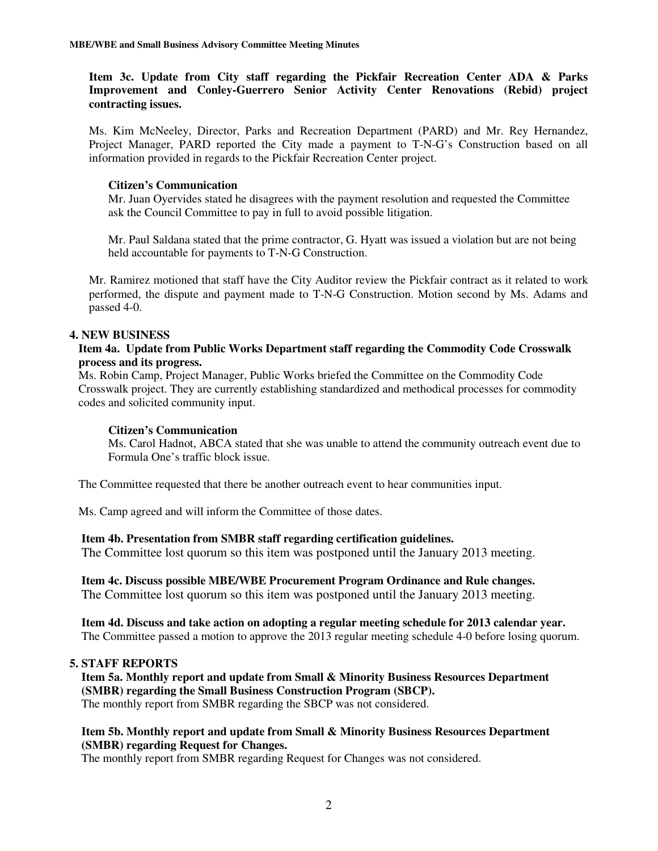**Item 3c. Update from City staff regarding the Pickfair Recreation Center ADA & Parks Improvement and Conley-Guerrero Senior Activity Center Renovations (Rebid) project contracting issues.** 

Ms. Kim McNeeley, Director, Parks and Recreation Department (PARD) and Mr. Rey Hernandez, Project Manager, PARD reported the City made a payment to T-N-G's Construction based on all information provided in regards to the Pickfair Recreation Center project.

#### **Citizen's Communication**

Mr. Juan Oyervides stated he disagrees with the payment resolution and requested the Committee ask the Council Committee to pay in full to avoid possible litigation.

Mr. Paul Saldana stated that the prime contractor, G. Hyatt was issued a violation but are not being held accountable for payments to T-N-G Construction.

Mr. Ramirez motioned that staff have the City Auditor review the Pickfair contract as it related to work performed, the dispute and payment made to T-N-G Construction. Motion second by Ms. Adams and passed 4-0.

## **4. NEW BUSINESS**

## **Item 4a. Update from Public Works Department staff regarding the Commodity Code Crosswalk process and its progress.**

Ms. Robin Camp, Project Manager, Public Works briefed the Committee on the Commodity Code Crosswalk project. They are currently establishing standardized and methodical processes for commodity codes and solicited community input.

#### **Citizen's Communication**

Ms. Carol Hadnot, ABCA stated that she was unable to attend the community outreach event due to Formula One's traffic block issue.

The Committee requested that there be another outreach event to hear communities input.

Ms. Camp agreed and will inform the Committee of those dates.

## **Item 4b. Presentation from SMBR staff regarding certification guidelines.**

The Committee lost quorum so this item was postponed until the January 2013 meeting.

# **Item 4c. Discuss possible MBE/WBE Procurement Program Ordinance and Rule changes.**

The Committee lost quorum so this item was postponed until the January 2013 meeting.

 **Item 4d. Discuss and take action on adopting a regular meeting schedule for 2013 calendar year.**  The Committee passed a motion to approve the 2013 regular meeting schedule 4-0 before losing quorum.

#### **5. STAFF REPORTS**

 **Item 5a. Monthly report and update from Small & Minority Business Resources Department (SMBR) regarding the Small Business Construction Program (SBCP).**  The monthly report from SMBR regarding the SBCP was not considered.

#### **Item 5b. Monthly report and update from Small & Minority Business Resources Department (SMBR) regarding Request for Changes.**

The monthly report from SMBR regarding Request for Changes was not considered.